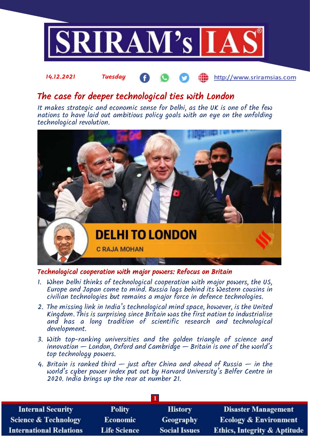

#### 14.12.2021 Tuesday **Milli** http://www.sriramsias.com

# The case for deeper technological ties with London

It makes strategic and economic sense for Delhi, as the UK is one of the few nations to have laid out ambitious policy goals with an eye on the unfolding technological revolution.



Technological cooperation with major powers: Refocus on Britain

- 1. When Delhi thinks of technological cooperation with major powers, the US, Furope and Japan come to mind. Russia lags behind its Western cousins in civilian technologies but remains a major force in defence technologies.
- 2. The missing link in India's technological mind space, however, is the United Kingdom. This is surprising since Britain was the first nation to industrialise and has a long tradition of scientific research and technological development.
- 3. With top-ranking universities and the golden triangle of science and innovation — London, Oxford and Cambridge — Britain is one of the world's top technology powers.
- 4. Britain is ranked third  $-$  just after China and ahead of Russia  $-$  in the world's cyber power index put out by Harvard University's Belfer Centre in 2020. India brings up the rear at number 21.

| <b>Internal Security</b>        | <b>Polity</b>       | <b>History</b>       | <b>Disaster Management</b>              |  |  |  |
|---------------------------------|---------------------|----------------------|-----------------------------------------|--|--|--|
| <b>Science &amp; Technology</b> | <b>Economic</b>     | <b>Geography</b>     | <b>Ecology &amp; Environment</b>        |  |  |  |
| <b>International Relations</b>  | <b>Life Science</b> | <b>Social Issues</b> | <b>Ethics, Integrity &amp; Aptitude</b> |  |  |  |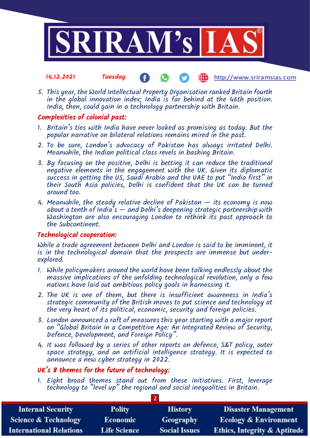

#### 14.12.2021 Tuesday Œ http://www.sriramsias.com

5. This year, the World Intellectual Property Organisation ranked Britain fourth in the global innovation index; India is far behind at the 46th position. India, then, could gain in a technology partnership with Britain.

## Complexities of colonial past:

- 1. Britain's ties with India have never looked as promising as today. But the popular narrative on bilateral relations remains mired in the past.
- 2. To be sure, London's advocacy of Pakistan has always irritated Delhi. Meanwhile, the Indian political class revels in bashing Britain.
- 3. By focusing on the positive, Delhi is betting it can reduce the traditional negative elements in the engagement with the UK. Given its diplomatic success in getting the US, Saudi Arabia and the UAE to put "India first" in their South Asia policies, Delhi is confident that the UK can be turned around too.
- 4. Meanwhile, the steady relative decline of Pakistan  $-$  its economy is now about a tenth of India's — and Delhi's deepening strategic partnership with Washington are also encouraging London to rethink its past approach to the Subcontinent.

### Technological cooperation:

While a trade agreement between Delhi and London is said to be imminent, it is in the technological domain that the prospects are immense but underexplored.

- 1. While policymakers around the world have been talking endlessly about the massive implications of the unfolding technological revolution, only a few nations have laid out ambitious policy goals in harnessing it.
- 2. The UK is one of them, but there is insufficient awareness in India's strategic community of the British moves to put science and technology at the very heart of its political, economic, security and foreign policies.
- 3. London announced a raft of measures this year starting with a major report on "Global Britain in a Competitive Age: An Integrated Review of Security, Defence, Development, and Foreign Policy".
- 4. It was followed by a series of other reports on defence, S&T policy, outer space strategy, and an artificial intelligence strategy. It is expected to announce a new cyber strategy in 2022.

## UK's 8 themes for the future of technology:

1. Eight broad themes stand out from these initiatives. First, leverage technology to "level up" the regional and social inequalities in Britain.

| <b>Internal Security</b>        | <b>Polity</b>       | <b>History</b>       | <b>Disaster Management</b>              |  |  |  |
|---------------------------------|---------------------|----------------------|-----------------------------------------|--|--|--|
| <b>Science &amp; Technology</b> | <b>Economic</b>     | Geography            | <b>Ecology &amp; Environment</b>        |  |  |  |
| <b>International Relations</b>  | <b>Life Science</b> | <b>Social Issues</b> | <b>Ethics, Integrity &amp; Aptitude</b> |  |  |  |